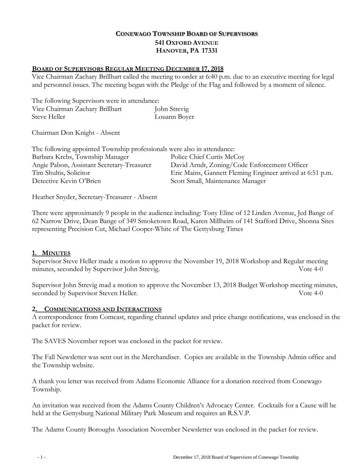## **CONEWAGO TOWNSHIP BOARD OF SUPERVISORS 541 OXFORD AVENUE HANOVER, PA 17331**

#### **BOARD OF SUPERVISORS REGULAR MEETING DECEMBER 17, 2018**

Vice Chairman Zachary Brillhart called the meeting to order at 6:40 p.m. due to an executive meeting for legal and personnel issues. The meeting began with the Pledge of the Flag and followed by a moment of silence.

The following Supervisors were in attendance: Vice Chairman Zachary Brillhart John Strevig Steve Heller Louann Boyer

Chairman Don Knight - Absent

| The following appointed Township professionals were also in attendance: |                                                           |
|-------------------------------------------------------------------------|-----------------------------------------------------------|
| Barbara Krebs, Township Manager                                         | Police Chief Curtis McCoy                                 |
| Angie Pabon, Assistant Secretary-Treasurer                              | David Arndt, Zoning/Code Enforcement Officer              |
| Tim Shultis, Solicitor                                                  | Eric Mains, Gannett Fleming Engineer arrived at 6:51 p.m. |
| Detective Kevin O'Brien                                                 | Scott Small, Maintenance Manager                          |

Heather Snyder, Secretary-Treasurer - Absent

There were approximately 9 people in the audience including: Tony Eline of 12 Linden Avenue, Jed Bange of 62 Narrow Drive, Dean Bange of 349 Smoketown Road, Karen Millheim of 141 Stafford Drive, Shonna Sites representing Precision Cut, Michael Cooper-White of The Gettysburg Times

#### **1. MINUTES**

Supervisor Steve Heller made a motion to approve the November 19, 2018 Workshop and Regular meeting minutes, seconded by Supervisor John Strevig. Vote 4-0

Supervisor John Strevig mad a motion to approve the November 13, 2018 Budget Workshop meeting minutes, seconded by Supervisor Steven Heller. Vote 4-0

#### **2. COMMUNICATIONS AND INTERACTIONS**

A correspondence from Comcast, regarding channel updates and price change notifications, was enclosed in the packet for review.

The SAVES November report was enclosed in the packet for review.

The Fall Newsletter was sent out in the Merchandiser. Copies are available in the Township Admin office and the Township website.

A thank you letter was received from Adams Economic Alliance for a donation received from Conewago Township.

An invitation was received from the Adams County Children's Advocacy Center. Cocktails for a Cause will be held at the Gettysburg National Military Park Museum and requires an R.S.V.P.

The Adams County Boroughs Association November Newsletter was enclosed in the packet for review.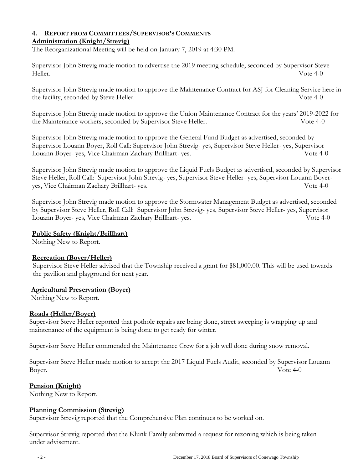#### **4. REPORT FROM COMMITTEES/SUPERVISOR'S COMMENTS Administration (Knight/Strevig)**

# The Reorganizational Meeting will be held on January 7, 2019 at 4:30 PM.

Supervisor John Strevig made motion to advertise the 2019 meeting schedule, seconded by Supervisor Steve Heller. Vote 4-0

Supervisor John Strevig made motion to approve the Maintenance Contract for ASJ for Cleaning Service here in the facility, seconded by Steve Heller. Vote 4-0

Supervisor John Strevig made motion to approve the Union Maintenance Contract for the years' 2019-2022 for the Maintenance workers, seconded by Supervisor Steve Heller. Vote 4-0

Supervisor John Strevig made motion to approve the General Fund Budget as advertised, seconded by Supervisor Louann Boyer, Roll Call: Supervisor John Strevig- yes, Supervisor Steve Heller- yes, Supervisor Louann Boyer- yes, Vice Chairman Zachary Brillhart- yes. Vote 4-0

Supervisor John Strevig made motion to approve the Liquid Fuels Budget as advertised, seconded by Supervisor Steve Heller, Roll Call: Supervisor John Strevig- yes, Supervisor Steve Heller- yes, Supervisor Louann Boyeryes, Vice Chairman Zachary Brillhart- yes. Vote 4-0

Supervisor John Strevig made motion to approve the Stormwater Management Budget as advertised, seconded by Supervisor Steve Heller, Roll Call: Supervisor John Strevig- yes, Supervisor Steve Heller- yes, Supervisor Louann Boyer- yes, Vice Chairman Zachary Brillhart- yes. Vote 4-0

## **Public Safety (Knight/Brillhart)**

Nothing New to Report.

## **Recreation (Boyer/Heller)**

 Supervisor Steve Heller advised that the Township received a grant for \$81,000.00. This will be used towards the pavilion and playground for next year.

#### **Agricultural Preservation (Boyer)**

Nothing New to Report.

## **Roads (Heller/Boyer)**

Supervisor Steve Heller reported that pothole repairs are being done, street sweeping is wrapping up and maintenance of the equipment is being done to get ready for winter.

Supervisor Steve Heller commended the Maintenance Crew for a job well done during snow removal.

Supervisor Steve Heller made motion to accept the 2017 Liquid Fuels Audit, seconded by Supervisor Louann Boyer. Vote 4-0

## **Pension (Knight)**

Nothing New to Report.

## **Planning Commission (Strevig)**

Supervisor Strevig reported that the Comprehensive Plan continues to be worked on.

Supervisor Strevig reported that the Klunk Family submitted a request for rezoning which is being taken under advisement.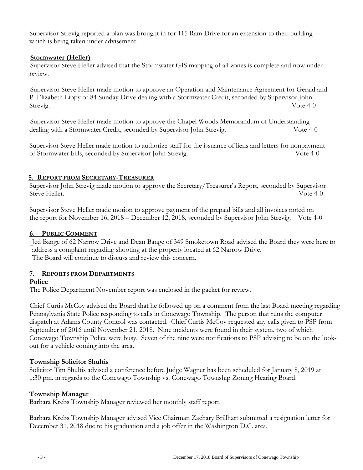Supervisor Strevig reported a plan was brought in for 115 Ram Drive for an extension to their building which is being taken under advisement.

#### **Stormwater (Heller)**

 Supervisor Steve Heller advised that the Stormwater GIS mapping of all zones is complete and now under review.

 Supervisor Steve Heller made motion to approve an Operation and Maintenance Agreement for Gerald and P. Elizabeth Lippy of 84 Sunday Drive dealing with a Stormwater Credit, seconded by Supervisor John Strevig. Vote 4-0

 Supervisor Steve Heller made motion to approve the Chapel Woods Memorandum of Understanding dealing with a Stormwater Credit, seconded by Supervisor John Strevig. Vote 4-0

Supervisor Steve Heller made motion to authorize staff for the issuance of liens and letters for nonpayment of Stormwater bills, seconded by Supervisor John Strevig. Vote 4-0

## **5. REPORT FROM SECRETARY-TREASURER**

Supervisor John Strevig made motion to approve the Secretary/Treasurer's Report, seconded by Supervisor Steve Heller. Vote 4-0

Supervisor Steve Heller made motion to approve payment of the prepaid bills and all invoices noted on the report for November 16, 2018 – December 12, 2018, seconded by Supervisor John Strevig. Vote 4-0

## **6. PUBLIC COMMENT**

Jed Bange of 62 Narrow Drive and Dean Bange of 349 Smoketown Road advised the Board they were here to address a complaint regarding shooting at the property located at 62 Narrow Drive. The Board will continue to discuss and review this concern.

#### **7. REPORTS FROM DEPARTMENTS**

#### **Police**

The Police Department November report was enclosed in the packet for review.

Chief Curtis McCoy advised the Board that he followed up on a comment from the last Board meeting regarding Pennsylvania State Police responding to calls in Conewago Township. The person that runs the computer dispatch at Adams County Control was contacted. Chief Curtis McCoy requested any calls given to PSP from September of 2016 until November 21, 2018. Nine incidents were found in their system, two of which Conewago Township Police were busy. Seven of the nine were notifications to PSP advising to be on the lookout for a vehicle coming into the area.

## **Township Solicitor Shultis**

Solicitor Tim Shultis advised a conference before Judge Wagner has been scheduled for January 8, 2019 at 1:30 pm. in regards to the Conewago Township vs. Conewago Township Zoning Hearing Board.

#### **Township Manager**

Barbara Krebs Township Manager reviewed her monthly staff report.

Barbara Krebs Township Manager advised Vice Chairman Zachary Brillhart submitted a resignation letter for December 31, 2018 due to his graduation and a job offer in the Washington D.C. area.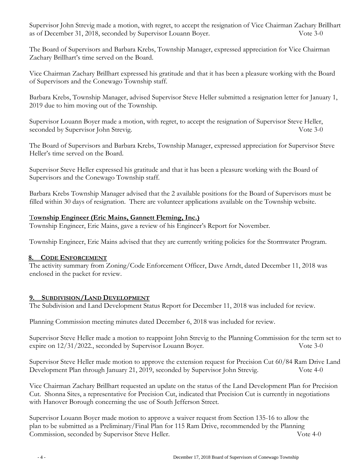Supervisor John Strevig made a motion, with regret, to accept the resignation of Vice Chairman Zachary Brillhart as of December 31, 2018, seconded by Supervisor Louann Boyer. Vote 3-0

The Board of Supervisors and Barbara Krebs, Township Manager, expressed appreciation for Vice Chairman Zachary Brillhart's time served on the Board.

Vice Chairman Zachary Brillhart expressed his gratitude and that it has been a pleasure working with the Board of Supervisors and the Conewago Township staff.

Barbara Krebs, Township Manager, advised Supervisor Steve Heller submitted a resignation letter for January 1, 2019 due to him moving out of the Township.

Supervisor Louann Boyer made a motion, with regret, to accept the resignation of Supervisor Steve Heller, seconded by Supervisor John Strevig. Vote 3-0

The Board of Supervisors and Barbara Krebs, Township Manager, expressed appreciation for Supervisor Steve Heller's time served on the Board.

Supervisor Steve Heller expressed his gratitude and that it has been a pleasure working with the Board of Supervisors and the Conewago Township staff.

Barbara Krebs Township Manager advised that the 2 available positions for the Board of Supervisors must be filled within 30 days of resignation. There are volunteer applications available on the Township website.

## T**ownship Engineer (Eric Mains, Gannett Fleming, Inc.)**

Township Engineer, Eric Mains, gave a review of his Engineer's Report for November.

Township Engineer, Eric Mains advised that they are currently writing policies for the Stormwater Program.

## **8. CODE ENFORCEMENT**

The activity summary from Zoning/Code Enforcement Officer, Dave Arndt, dated December 11, 2018 was enclosed in the packet for review.

## **9. SUBDIVISION/LAND DEVELOPMENT**

The Subdivision and Land Development Status Report for December 11, 2018 was included for review.

Planning Commission meeting minutes dated December 6, 2018 was included for review.

Supervisor Steve Heller made a motion to reappoint John Strevig to the Planning Commission for the term set to expire on  $12/31/2022$ , seconded by Supervisor Louann Boyer. Vote 3-0

Supervisor Steve Heller made motion to approve the extension request for Precision Cut 60/84 Ram Drive Land Development Plan through January 21, 2019, seconded by Supervisor John Strevig. Vote 4-0

Vice Chairman Zachary Brillhart requested an update on the status of the Land Development Plan for Precision Cut. Shonna Sites, a representative for Precision Cut, indicated that Precision Cut is currently in negotiations with Hanover Borough concerning the use of South Jefferson Street.

Supervisor Louann Boyer made motion to approve a waiver request from Section 135-16 to allow the plan to be submitted as a Preliminary/Final Plan for 115 Ram Drive, recommended by the Planning Commission, seconded by Supervisor Steve Heller. Vote 4-0